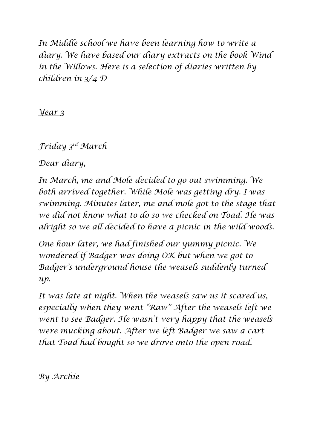*In Middle school we have been learning how to write a diary. We have based our diary extracts on the book Wind in the Willows. Here is a selection of diaries written by children in 3/4 D* 

*Year 3* 

*Friday 3rd March* 

*Dear diary,*

*In March, me and Mole decided to go out swimming. We both arrived together. While Mole was getting dry. I was swimming. Minutes later, me and mole got to the stage that we did not know what to do so we checked on Toad. He was alright so we all decided to have a picnic in the wild woods.*

*One hour later, we had finished our yummy picnic. We wondered if Badger was doing OK but when we got to Badger's underground house the weasels suddenly turned up.* 

*It was late at night. When the weasels saw us it scared us, especially when they went "Raw" After the weasels left we went to see Badger. He wasn't very happy that the weasels were mucking about. After we left Badger we saw a cart that Toad had bought so we drove onto the open road.* 

*By Archie*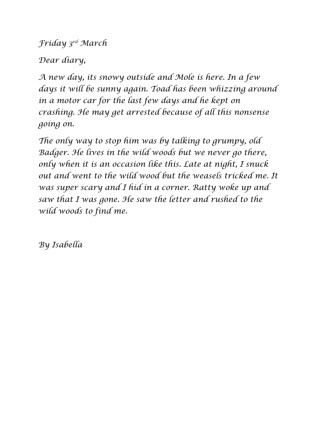*Friday 3rd March* 

*Dear diary,* 

*A new day, its snowy outside and Mole is here. In a few days it will be sunny again. Toad has been whizzing around in a motor car for the last few days and he kept on crashing. He may get arrested because of all this nonsense going on.* 

*The only way to stop him was by talking to grumpy, old Badger. He lives in the wild woods but we never go there, only when it is an occasion like this. Late at night, I snuck out and went to the wild wood but the weasels tricked me. It was super scary and I hid in a corner. Ratty woke up and saw that I was gone. He saw the letter and rushed to the wild woods to find me.* 

*By Isabella*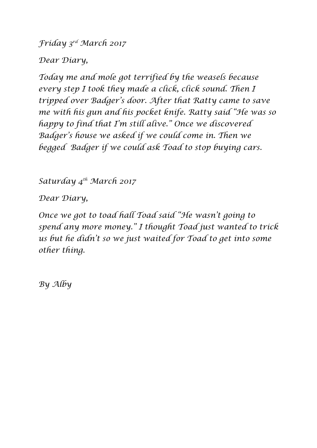*Friday 3rd March 2017*

*Dear Diary,* 

*Today me and mole got terrified by the weasels because every step I took they made a click, click sound. Then I tripped over Badger's door. After that Ratty came to save me with his gun and his pocket knife. Ratty said "He was so happy to find that I'm still alive." Once we discovered Badger's house we asked if we could come in. Then we begged Badger if we could ask Toad to stop buying cars.*

*Saturday 4th March 2017*

*Dear Diary,* 

*Once we got to toad hall Toad said "He wasn't going to spend any more money." I thought Toad just wanted to trick us but he didn't so we just waited for Toad to get into some other thing.* 

*By Alby*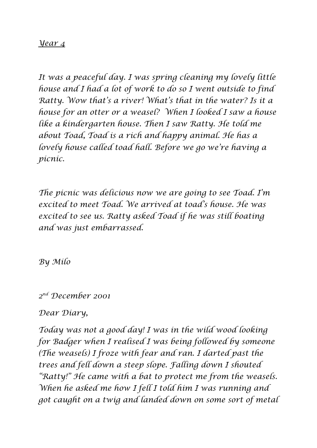## *Year 4*

*It was a peaceful day. I was spring cleaning my lovely little house and I had a lot of work to do so I went outside to find Ratty. Wow that's a river! What's that in the water? Is it a house for an otter or a weasel? When I looked I saw a house like a kindergarten house. Then I saw Ratty. He told me about Toad, Toad is a rich and happy animal. He has a lovely house called toad hall. Before we go we're having a picnic.* 

*The picnic was delicious now we are going to see Toad. I'm excited to meet Toad. We arrived at toad's house. He was excited to see us. Ratty asked Toad if he was still boating and was just embarrassed.* 

*By Milo* 

*2 nd December 2001*

## *Dear Diary,*

*Today was not a good day! I was in the wild wood looking for Badger when I realised I was being followed by someone (The weasels) I froze with fear and ran. I darted past the trees and fell down a steep slope. Falling down I shouted "Ratty!" He came with a bat to protect me from the weasels. When he asked me how I fell I told him I was running and got caught on a twig and landed down on some sort of metal*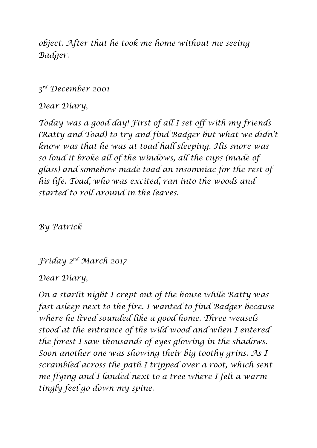*object. After that he took me home without me seeing Badger.* 

## *3 rd December 2001*

*Dear Diary,*

*Today was a good day! First of all I set off with my friends (Ratty and Toad) to try and find Badger but what we didn't know was that he was at toad hall sleeping. His snore was so loud it broke all of the windows, all the cups (made of glass) and somehow made toad an insomniac for the rest of his life. Toad, who was excited, ran into the woods and started to roll around in the leaves.* 

*By Patrick* 

*Friday 2 nd March 2017*

*Dear Diary,*

*On a starlit night I crept out of the house while Ratty was fast asleep next to the fire. I wanted to find Badger because where he lived sounded like a good home. Three weasels stood at the entrance of the wild wood and when I entered the forest I saw thousands of eyes glowing in the shadows. Soon another one was showing their big toothy grins. As I scrambled across the path I tripped over a root, which sent me flying and I landed next to a tree where I felt a warm tingly feel go down my spine.*